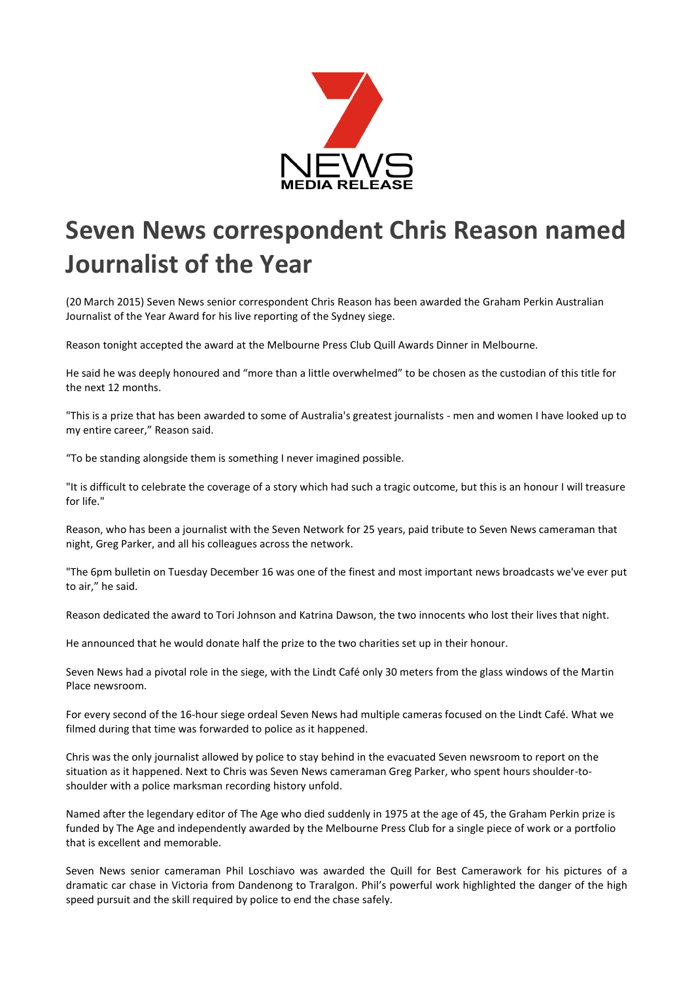

## **Seven News correspondent Chris Reason named Journalist of the Year**

(20 March 2015) Seven News senior correspondent Chris Reason has been awarded the Graham Perkin Australian Journalist of the Year Award for his live reporting of the Sydney siege.

Reason tonight accepted the award at the Melbourne Press Club Quill Awards Dinner in Melbourne.

He said he was deeply honoured and "more than a little overwhelmed" to be chosen as the custodian of this title for the next 12 months.

"This is a prize that has been awarded to some of Australia's greatest journalists - men and women I have looked up to my entire career," Reason said.

"To be standing alongside them is something I never imagined possible.

"It is difficult to celebrate the coverage of a story which had such a tragic outcome, but this is an honour I will treasure for life."

Reason, who has been a journalist with the Seven Network for 25 years, paid tribute to Seven News cameraman that night, Greg Parker, and all his colleagues across the network.

"The 6pm bulletin on Tuesday December 16 was one of the finest and most important news broadcasts we've ever put to air," he said.

Reason dedicated the award to Tori Johnson and Katrina Dawson, the two innocents who lost their lives that night.

He announced that he would donate half the prize to the two charities set up in their honour.

Seven News had a pivotal role in the siege, with the Lindt Café only 30 meters from the glass windows of the Martin Place newsroom.

For every second of the 16-hour siege ordeal Seven News had multiple cameras focused on the Lindt Café. What we filmed during that time was forwarded to police as it happened.

Chris was the only journalist allowed by police to stay behind in the evacuated Seven newsroom to report on the situation as it happened. Next to Chris was Seven News cameraman Greg Parker, who spent hours shoulder-toshoulder with a police marksman recording history unfold.

Named after the legendary editor of The Age who died suddenly in 1975 at the age of 45, the Graham Perkin prize is funded by The Age and independently awarded by the Melbourne Press Club for a single piece of work or a portfolio that is excellent and memorable.

Seven News senior cameraman Phil Loschiavo was awarded the Quill for Best Camerawork for his pictures of a dramatic car chase in Victoria from Dandenong to Traralgon. Phil's powerful work highlighted the danger of the high speed pursuit and the skill required by police to end the chase safely.